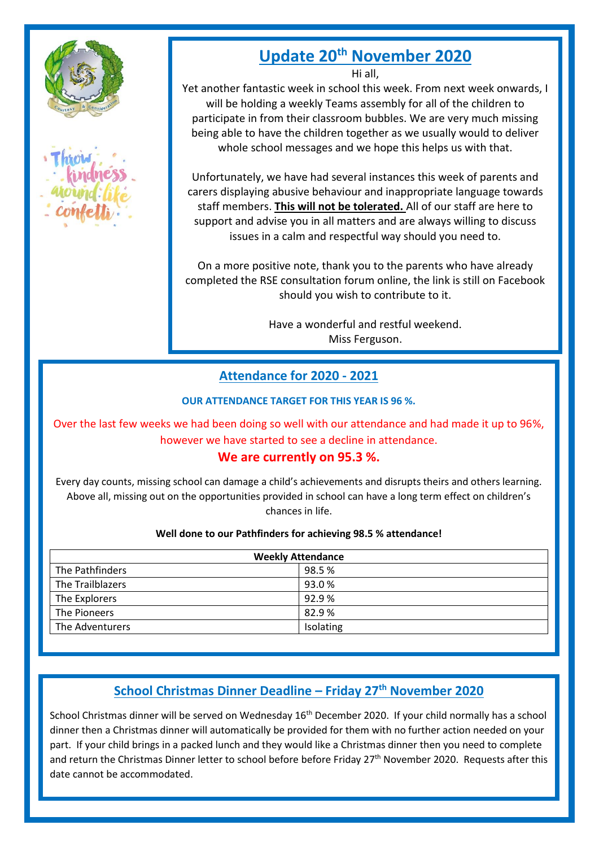



# **Update 20th November 2020**

Hi all,

Yet another fantastic week in school this week. From next week onwards, I will be holding a weekly Teams assembly for all of the children to participate in from their classroom bubbles. We are very much missing being able to have the children together as we usually would to deliver whole school messages and we hope this helps us with that.

Unfortunately, we have had several instances this week of parents and carers displaying abusive behaviour and inappropriate language towards staff members. **This will not be tolerated.** All of our staff are here to support and advise you in all matters and are always willing to discuss issues in a calm and respectful way should you need to.

On a more positive note, thank you to the parents who have already completed the RSE consultation forum online, the link is still on Facebook should you wish to contribute to it.

> Have a wonderful and restful weekend. Miss Ferguson.

# **Attendance for 2020 - 2021**

**OUR ATTENDANCE TARGET FOR THIS YEAR IS 96 %.** 

Over the last few weeks we had been doing so well with our attendance and had made it up to 96%, however we have started to see a decline in attendance.

## **We are currently on 95.3 %.**

Every day counts, missing school can damage a child's achievements and disrupts theirs and others learning. Above all, missing out on the opportunities provided in school can have a long term effect on children's chances in life.

#### **Well done to our Pathfinders for achieving 98.5 % attendance!**

| <b>Weekly Attendance</b> |           |
|--------------------------|-----------|
| The Pathfinders          | 98.5%     |
| The Trailblazers         | 93.0%     |
| The Explorers            | 92.9%     |
| The Pioneers             | 82.9%     |
| The Adventurers          | Isolating |

# **School Christmas Dinner Deadline – Friday 27th November 2020**

School Christmas dinner will be served on Wednesday 16<sup>th</sup> December 2020. If your child normally has a school dinner then a Christmas dinner will automatically be provided for them with no further action needed on your part. If your child brings in a packed lunch and they would like a Christmas dinner then you need to complete and return the Christmas Dinner letter to school before before Friday 27<sup>th</sup> November 2020. Requests after this date cannot be accommodated.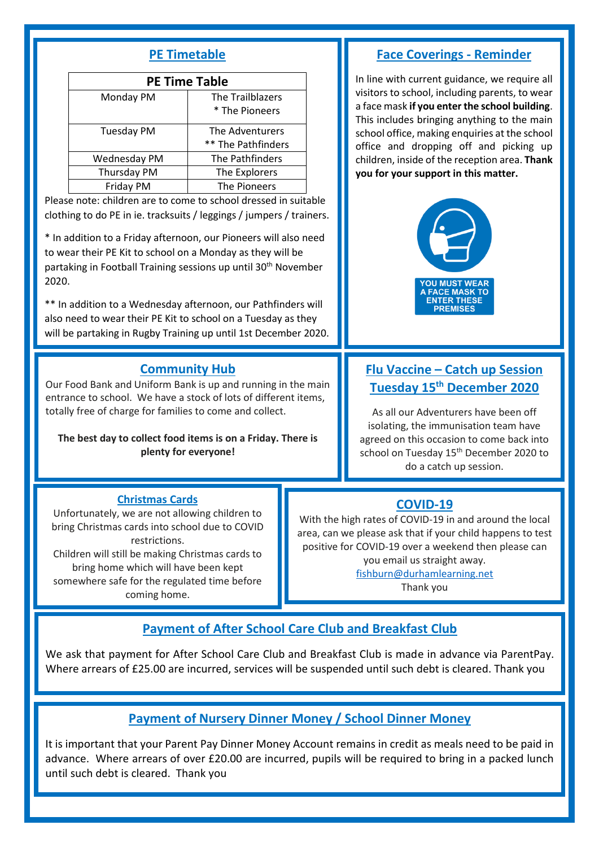## **PE Timetable**

| <b>PE Time Table</b> |                                    |  |
|----------------------|------------------------------------|--|
| Monday PM            | The Trailblazers<br>* The Pioneers |  |
| <b>Tuesday PM</b>    | The Adventurers                    |  |
|                      | ** The Pathfinders                 |  |
| Wednesday PM         | The Pathfinders                    |  |
| Thursday PM          | The Explorers                      |  |
| Friday PM            | The Pioneers                       |  |

Please note: children are to come to school dressed in suitable clothing to do PE in ie. tracksuits / leggings / jumpers / trainers.

\* In addition to a Friday afternoon, our Pioneers will also need to wear their PE Kit to school on a Monday as they will be partaking in Football Training sessions up until 30<sup>th</sup> November 2020.

\*\* In addition to a Wednesday afternoon, our Pathfinders will also need to wear their PE Kit to school on a Tuesday as they will be partaking in Rugby Training up until 1st December 2020.

#### **Community Hub**

Our Food Bank and Uniform Bank is up and running in the main entrance to school. We have a stock of lots of different items, totally free of charge for families to come and collect.

**The best day to collect food items is on a Friday. There is plenty for everyone!**

#### **Face Coverings - Reminder**

In line with current guidance, we require all visitors to school, including parents, to wear a face mask **if you enter the school building**. This includes bringing anything to the main school office, making enquiries at the school office and dropping off and picking up children, inside of the reception area. **Thank you for your support in this matter.** 



# **Flu Vaccine – Catch up Session Tuesday 15th December 2020**

As all our Adventurers have been off isolating, the immunisation team have agreed on this occasion to come back into school on Tuesday 15<sup>th</sup> December 2020 to do a catch up session.

#### **Christmas Cards**

Unfortunately, we are not allowing children to bring Christmas cards into school due to COVID restrictions. Children will still be making Christmas cards to bring home which will have been kept somewhere safe for the regulated time before coming home.

**COVID-19**

With the high rates of COVID-19 in and around the local area, can we please ask that if your child happens to test positive for COVID-19 over a weekend then please can you email us straight away. [fishburn@durhamlearning.net](mailto:fishburn@durhamlearning.net) 

Thank you

## **Payment of After School Care Club and Breakfast Club**

We ask that payment for After School Care Club and Breakfast Club is made in advance via ParentPay. Where arrears of £25.00 are incurred, services will be suspended until such debt is cleared. Thank you

## **Payment of Nursery Dinner Money / School Dinner Money**

It is important that your Parent Pay Dinner Money Account remains in credit as meals need to be paid in advance. Where arrears of over £20.00 are incurred, pupils will be required to bring in a packed lunch until such debt is cleared. Thank you